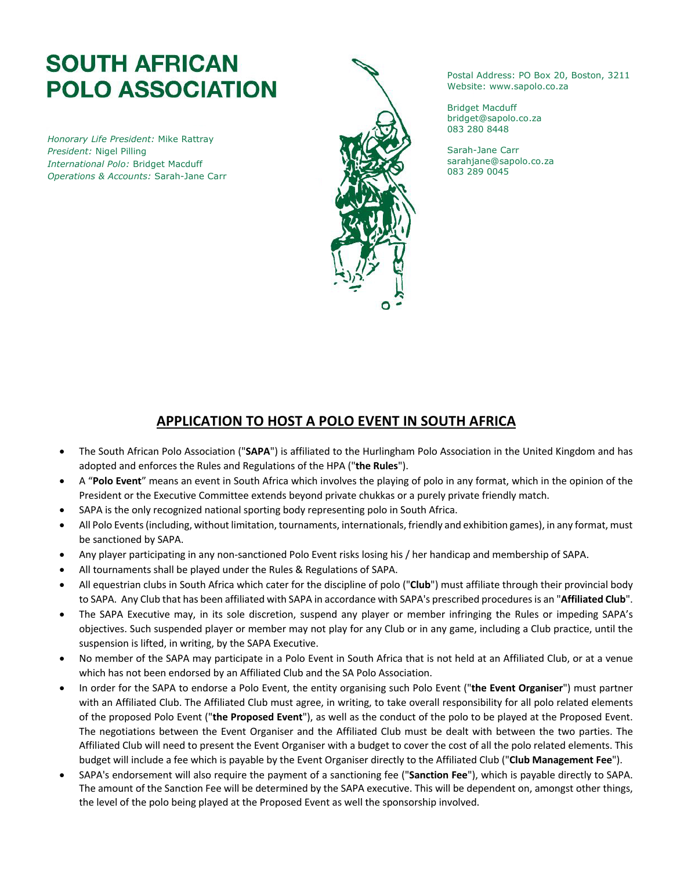## **SOUTH AFRICAN POLO ASSOCIATION**

*Honorary Life President:* Mike Rattray *President:* Nigel Pilling *International Polo:* Bridget Macduff *Operations & Accounts:* Sarah-Jane Carr



Postal Address: PO Box 20, Boston, 3211 Website: www.sapolo.co.za

Bridget Macduff bridget@sapolo.co.za 083 280 8448

Sarah-Jane Carr sarahjane@sapolo.co.za 083 289 0045

## **APPLICATION TO HOST A POLO EVENT IN SOUTH AFRICA**

- The South African Polo Association ("**SAPA**") is affiliated to the Hurlingham Polo Association in the United Kingdom and has adopted and enforces the Rules and Regulations of the HPA ("**the Rules**").
- A "**Polo Event**" means an event in South Africa which involves the playing of polo in any format, which in the opinion of the President or the Executive Committee extends beyond private chukkas or a purely private friendly match.
- SAPA is the only recognized national sporting body representing polo in South Africa.
- All Polo Events (including, without limitation, tournaments, internationals, friendly and exhibition games), in any format, must be sanctioned by SAPA.
- Any player participating in any non-sanctioned Polo Event risks losing his / her handicap and membership of SAPA.
- All tournaments shall be played under the Rules & Regulations of SAPA.
- All equestrian clubs in South Africa which cater for the discipline of polo ("**Club**") must affiliate through their provincial body to SAPA. Any Club that has been affiliated with SAPA in accordance with SAPA's prescribed proceduresis an "**Affiliated Club**".
- The SAPA Executive may, in its sole discretion, suspend any player or member infringing the Rules or impeding SAPA's objectives. Such suspended player or member may not play for any Club or in any game, including a Club practice, until the suspension is lifted, in writing, by the SAPA Executive.
- No member of the SAPA may participate in a Polo Event in South Africa that is not held at an Affiliated Club, or at a venue which has not been endorsed by an Affiliated Club and the SA Polo Association.
- In order for the SAPA to endorse a Polo Event, the entity organising such Polo Event ("**the Event Organiser**") must partner with an Affiliated Club. The Affiliated Club must agree, in writing, to take overall responsibility for all polo related elements of the proposed Polo Event ("**the Proposed Event**"), as well as the conduct of the polo to be played at the Proposed Event. The negotiations between the Event Organiser and the Affiliated Club must be dealt with between the two parties. The Affiliated Club will need to present the Event Organiser with a budget to cover the cost of all the polo related elements. This budget will include a fee which is payable by the Event Organiser directly to the Affiliated Club ("**Club Management Fee**").
- SAPA's endorsement will also require the payment of a sanctioning fee ("**Sanction Fee**"), which is payable directly to SAPA. The amount of the Sanction Fee will be determined by the SAPA executive. This will be dependent on, amongst other things, the level of the polo being played at the Proposed Event as well the sponsorship involved.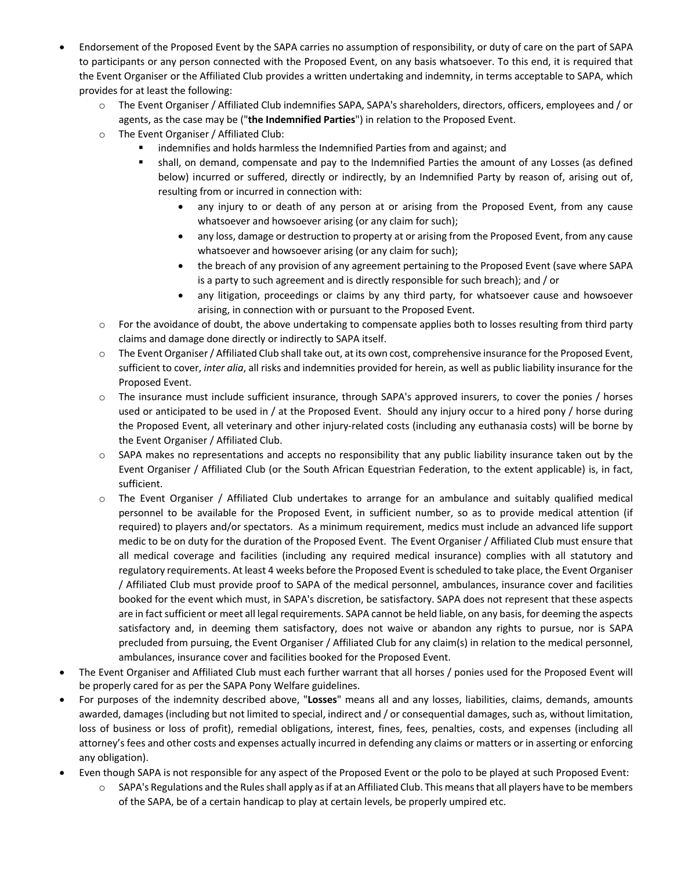- Endorsement of the Proposed Event by the SAPA carries no assumption of responsibility, or duty of care on the part of SAPA to participants or any person connected with the Proposed Event, on any basis whatsoever. To this end, it is required that the Event Organiser or the Affiliated Club provides a written undertaking and indemnity, in terms acceptable to SAPA, which provides for at least the following:
	- o The Event Organiser / Affiliated Club indemnifies SAPA, SAPA's shareholders, directors, officers, employees and / or agents, as the case may be ("**the Indemnified Parties**") in relation to the Proposed Event.
	- o The Event Organiser / Affiliated Club:
		- indemnifies and holds harmless the Indemnified Parties from and against; and
		- shall, on demand, compensate and pay to the Indemnified Parties the amount of any Losses (as defined below) incurred or suffered, directly or indirectly, by an Indemnified Party by reason of, arising out of, resulting from or incurred in connection with:
			- any injury to or death of any person at or arising from the Proposed Event, from any cause whatsoever and howsoever arising (or any claim for such);
			- any loss, damage or destruction to property at or arising from the Proposed Event, from any cause whatsoever and howsoever arising (or any claim for such);
			- the breach of any provision of any agreement pertaining to the Proposed Event (save where SAPA is a party to such agreement and is directly responsible for such breach); and / or
			- any litigation, proceedings or claims by any third party, for whatsoever cause and howsoever arising, in connection with or pursuant to the Proposed Event.
	- $\circ$  For the avoidance of doubt, the above undertaking to compensate applies both to losses resulting from third party claims and damage done directly or indirectly to SAPA itself.
	- $\circ$  The Event Organiser / Affiliated Club shall take out, at its own cost, comprehensive insurance for the Proposed Event, sufficient to cover, *inter alia*, all risks and indemnities provided for herein, as well as public liability insurance for the Proposed Event.
	- o The insurance must include sufficient insurance, through SAPA's approved insurers, to cover the ponies / horses used or anticipated to be used in / at the Proposed Event. Should any injury occur to a hired pony / horse during the Proposed Event, all veterinary and other injury-related costs (including any euthanasia costs) will be borne by the Event Organiser / Affiliated Club.
	- $\circ$  SAPA makes no representations and accepts no responsibility that any public liability insurance taken out by the Event Organiser / Affiliated Club (or the South African Equestrian Federation, to the extent applicable) is, in fact, sufficient.
	- o The Event Organiser / Affiliated Club undertakes to arrange for an ambulance and suitably qualified medical personnel to be available for the Proposed Event, in sufficient number, so as to provide medical attention (if required) to players and/or spectators. As a minimum requirement, medics must include an advanced life support medic to be on duty for the duration of the Proposed Event. The Event Organiser / Affiliated Club must ensure that all medical coverage and facilities (including any required medical insurance) complies with all statutory and regulatory requirements. At least 4 weeks before the Proposed Event is scheduled to take place, the Event Organiser / Affiliated Club must provide proof to SAPA of the medical personnel, ambulances, insurance cover and facilities booked for the event which must, in SAPA's discretion, be satisfactory. SAPA does not represent that these aspects are in fact sufficient or meet all legal requirements. SAPA cannot be held liable, on any basis, for deeming the aspects satisfactory and, in deeming them satisfactory, does not waive or abandon any rights to pursue, nor is SAPA precluded from pursuing, the Event Organiser / Affiliated Club for any claim(s) in relation to the medical personnel, ambulances, insurance cover and facilities booked for the Proposed Event.
- The Event Organiser and Affiliated Club must each further warrant that all horses / ponies used for the Proposed Event will be properly cared for as per the SAPA Pony Welfare guidelines.
- For purposes of the indemnity described above, "**Losses**" means all and any losses, liabilities, claims, demands, amounts awarded, damages (including but not limited to special, indirect and / or consequential damages, such as, without limitation, loss of business or loss of profit), remedial obligations, interest, fines, fees, penalties, costs, and expenses (including all attorney's fees and other costs and expenses actually incurred in defending any claims or matters or in asserting or enforcing any obligation).
- Even though SAPA is not responsible for any aspect of the Proposed Event or the polo to be played at such Proposed Event:
	- $\circ$  SAPA's Regulations and the Rules shall apply as if at an Affiliated Club. This means that all players have to be members of the SAPA, be of a certain handicap to play at certain levels, be properly umpired etc.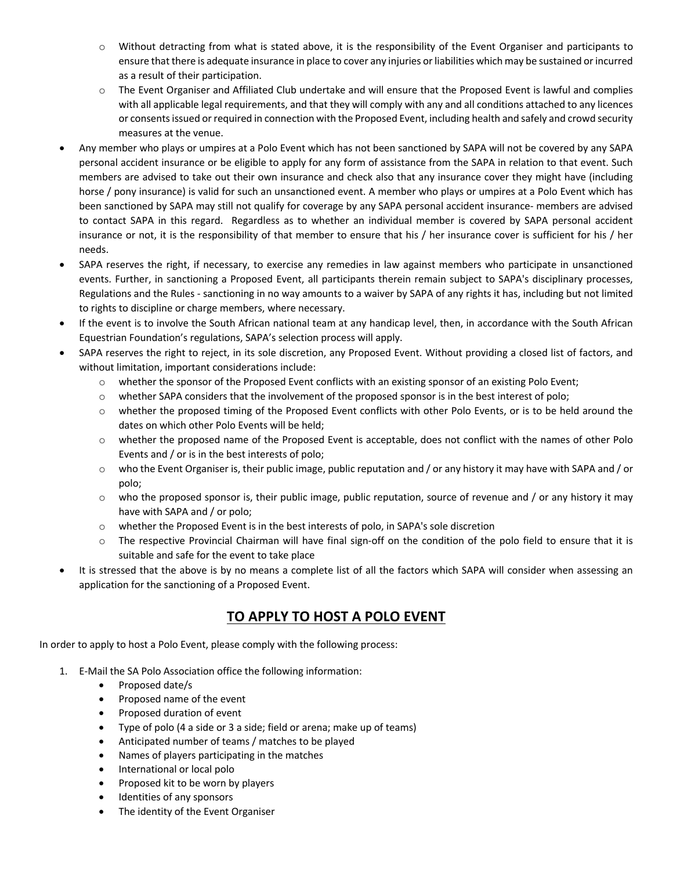- $\circ$  Without detracting from what is stated above, it is the responsibility of the Event Organiser and participants to ensure that there is adequate insurance in place to cover any injuries or liabilities which may be sustained or incurred as a result of their participation.
- o The Event Organiser and Affiliated Club undertake and will ensure that the Proposed Event is lawful and complies with all applicable legal requirements, and that they will comply with any and all conditions attached to any licences or consents issued or required in connection with the Proposed Event, including health and safely and crowd security measures at the venue.
- Any member who plays or umpires at a Polo Event which has not been sanctioned by SAPA will not be covered by any SAPA personal accident insurance or be eligible to apply for any form of assistance from the SAPA in relation to that event. Such members are advised to take out their own insurance and check also that any insurance cover they might have (including horse / pony insurance) is valid for such an unsanctioned event. A member who plays or umpires at a Polo Event which has been sanctioned by SAPA may still not qualify for coverage by any SAPA personal accident insurance- members are advised to contact SAPA in this regard. Regardless as to whether an individual member is covered by SAPA personal accident insurance or not, it is the responsibility of that member to ensure that his / her insurance cover is sufficient for his / her needs.
- SAPA reserves the right, if necessary, to exercise any remedies in law against members who participate in unsanctioned events. Further, in sanctioning a Proposed Event, all participants therein remain subject to SAPA's disciplinary processes, Regulations and the Rules - sanctioning in no way amounts to a waiver by SAPA of any rights it has, including but not limited to rights to discipline or charge members, where necessary.
- If the event is to involve the South African national team at any handicap level, then, in accordance with the South African Equestrian Foundation's regulations, SAPA's selection process will apply.
- SAPA reserves the right to reject, in its sole discretion, any Proposed Event. Without providing a closed list of factors, and without limitation, important considerations include:
	- o whether the sponsor of the Proposed Event conflicts with an existing sponsor of an existing Polo Event;
	- o whether SAPA considers that the involvement of the proposed sponsor is in the best interest of polo;
	- o whether the proposed timing of the Proposed Event conflicts with other Polo Events, or is to be held around the dates on which other Polo Events will be held;
	- o whether the proposed name of the Proposed Event is acceptable, does not conflict with the names of other Polo Events and / or is in the best interests of polo;
	- $\circ$  who the Event Organiser is, their public image, public reputation and / or any history it may have with SAPA and / or polo;
	- $\circ$  who the proposed sponsor is, their public image, public reputation, source of revenue and / or any history it may have with SAPA and / or polo;
	- o whether the Proposed Event is in the best interests of polo, in SAPA's sole discretion
	- o The respective Provincial Chairman will have final sign-off on the condition of the polo field to ensure that it is suitable and safe for the event to take place
- It is stressed that the above is by no means a complete list of all the factors which SAPA will consider when assessing an application for the sanctioning of a Proposed Event.

## **TO APPLY TO HOST A POLO EVENT**

In order to apply to host a Polo Event, please comply with the following process:

- 1. E-Mail the SA Polo Association office the following information:
	- Proposed date/s
	- Proposed name of the event
	- Proposed duration of event
	- Type of polo (4 a side or 3 a side; field or arena; make up of teams)
	- Anticipated number of teams / matches to be played
	- Names of players participating in the matches
	- International or local polo
	- Proposed kit to be worn by players
	- Identities of any sponsors
	- The identity of the Event Organiser